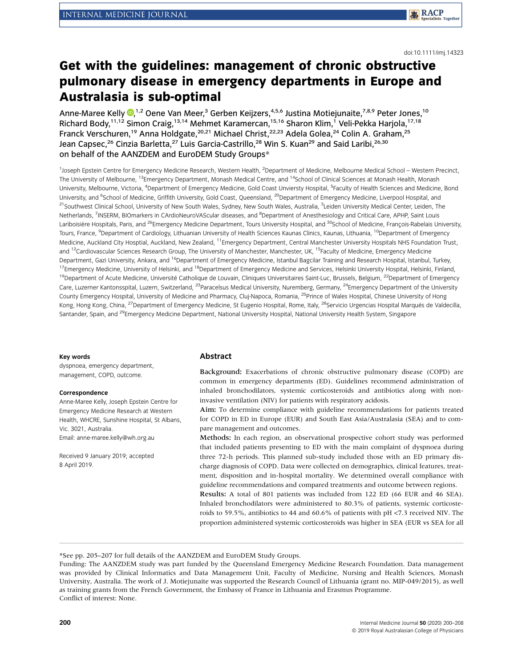#### doi:10.1111/imj.14323

# Get with the guidelines: management of chronic obstructive pulmonary disease in emergency departments in Europe and Australasia is sub-optimal

Anne-Maree Kelly  $\mathbf{0},^{1,2}$  $\mathbf{0},^{1,2}$  $\mathbf{0},^{1,2}$  Oene Van Meer,<sup>3</sup> Gerben Keijzers,<sup>4,5,6</sup> Justina Motiejunaite,<sup>7,8,9</sup> Peter Jones,<sup>10</sup> Richard Body,<sup>11,12</sup> Simon Craig,<sup>13,14</sup> Mehmet Karamercan,<sup>15,16</sup> Sharon Klim,<sup>1</sup> Veli-Pekka Harjola,<sup>17,18</sup> Franck Verschuren,<sup>19</sup> Anna Holdgate,<sup>20,21</sup> Michael Christ,<sup>22,23</sup> Adela Golea,<sup>24</sup> Colin A. Graham,<sup>25</sup> Jean Capsec,<sup>26</sup> Cinzia Barletta,<sup>27</sup> Luis Garcia-Castrillo,<sup>28</sup> Win S. Kuan<sup>29</sup> and Said Laribi,<sup>26,30</sup> on behalf of the AANZDEM and EuroDEM Study Groups\*

1Joseph Epstein Centre for Emergency Medicine Research, Western Health, <sup>2</sup>Department of Medicine, Melbourne Medical School - Western Precinct, The University of Melbourne, <sup>13</sup>Emergency Department, Monash Medical Centre, and <sup>14</sup>School of Clinical Sciences at Monash Health, Monash University, Melbourne, Victoria, <sup>4</sup>Department of Emergency Medicine, Gold Coast Unviersty Hospital, <sup>5</sup>Faculty of Health Sciences and Medicine, Bond University, and <sup>6</sup>School of Medicine, Griffith University, Gold Coast, Queensland, <sup>20</sup>Department of Emergency Medicine, Liverpool Hospital, and <sup>21</sup>Southwest Clinical School, University of New South Wales, Sydney, New South Wales, Australia, <sup>3</sup>Leiden University Medical Center, Leiden, The Netherlands, <sup>7</sup>INSERM, BIOmarkers in CArdioNeuroVAScular diseases, and <sup>8</sup>Department of Anesthesiology and Critical Care, APHP, Saint Louis Lariboisière Hospitals, Paris, and <sup>26</sup>Emergency Medicine Department, Tours University Hospital, and <sup>30</sup>School of Medicine, François-Rabelais University. Tours, France, <sup>9</sup>Department of Cardiology, Lithuanian University of Health Sciences Kaunas Clinics, Kaunas, Lithuania, <sup>10</sup>Department of Emergency Medicine, Auckland City Hosptial, Auckland, New Zealand, <sup>11</sup>Emergency Department, Central Manchester University Hospitals NHS Foundation Trust, and <sup>12</sup>Cardiovascular Sciences Research Group, The University of Manchester, Manchester, UK, <sup>15</sup>Faculty of Medicine, Emergency Medicine Department, Gazi University, Ankara, and <sup>16</sup>Department of Emergency Medicine, Istanbul Bagcilar Training and Research Hospital, Istanbul, Turkey, <sup>17</sup>Emergency Medicine, University of Helsinki, and <sup>18</sup>Department of Emergency Medicine and Services, Helsinki University Hospital, Helsinki, Finland, <sup>19</sup>Department of Acute Medicine, Université Catholique de Louvain, Cliniques Universitaires Saint-Luc, Brussels, Belgium, <sup>22</sup>Department of Emergency Care, Luzerner Kantonsspital, Luzern, Switzerland, <sup>23</sup>Paracelsus Medical University, Nuremberg, Germany, <sup>24</sup>Emergency Department of the University County Emergency Hospital, University of Medicine and Pharmacy, Cluj-Napoca, Romania, 25Prince of Wales Hospital, Chinese University of Hong Kong, Hong Kong, China, <sup>27</sup>Department of Emergency Medicine, St Eugenio Hospital, Rome, Italy, <sup>28</sup>Servicio Urgencias Hospital Marqués de Valdecilla, Santander, Spain, and <sup>29</sup>Emergency Medicine Department, National University Hospital, National University Health System, Singapore

#### Key words

dyspnoea, emergency department, management, COPD, outcome.

#### Correspondence

Anne-Maree Kelly, Joseph Epstein Centre for Emergency Medicine Research at Western Health, WHCRE, Sunshine Hospital, St Albans, Vic. 3021, Australia. Email: anne-maree.kelly@wh.org.au

Received 9 January 2019; accepted 8 April 2019.

#### Abstract

Background: Exacerbations of chronic obstructive pulmonary disease (COPD) are common in emergency departments (ED). Guidelines recommend administration of inhaled bronchodilators, systemic corticosteroids and antibiotics along with noninvasive ventilation (NIV) for patients with respiratory acidosis.

Aim: To determine compliance with guideline recommendations for patients treated for COPD in ED in Europe (EUR) and South East Asia/Australasia (SEA) and to compare management and outcomes.

Methods: In each region, an observational prospective cohort study was performed that included patients presenting to ED with the main complaint of dyspnoea during three 72-h periods. This planned sub-study included those with an ED primary discharge diagnosis of COPD. Data were collected on demographics, clinical features, treatment, disposition and in-hospital mortality. We determined overall compliance with guideline recommendations and compared treatments and outcome between regions.

Results: A total of 801 patients was included from 122 ED (66 EUR and 46 SEA). Inhaled bronchodilators were administered to 80.3% of patients, systemic corticosteroids to 59.5%, antibiotics to 44 and 60.6% of patients with pH <7.3 received NIV. The proportion administered systemic corticosteroids was higher in SEA (EUR vs SEA for all

\*See pp. 205–207 for full details of the AANZDEM and EuroDEM Study Groups.

Funding: The AANZDEM study was part funded by the Queensland Emergency Medicine Research Foundation. Data management was provided by Clinical Informatics and Data Management Unit, Faculty of Medicine, Nursing and Health Sciences, Monash University, Australia. The work of J. Motiejunaite was supported the Research Council of Lithuania (grant no. MIP-049/2015), as well as training grants from the French Government, the Embassy of France in Lithuania and Erasmus Programme. Conflict of interest: None.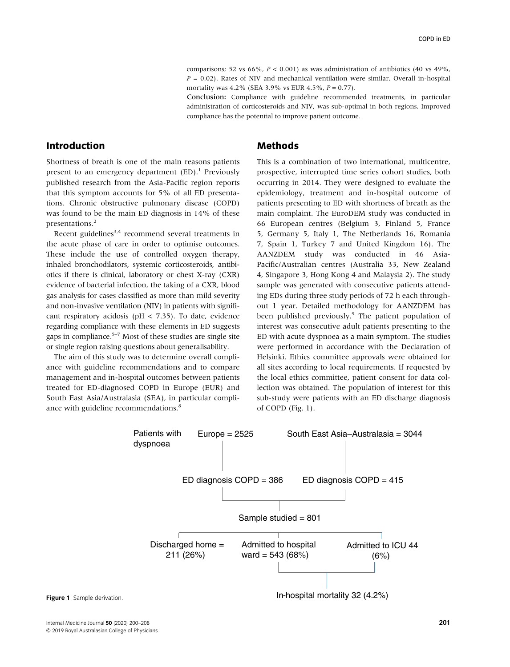comparisons; 52 vs 66%,  $P < 0.001$ ) as was administration of antibiotics (40 vs 49%,  $P = 0.02$ ). Rates of NIV and mechanical ventilation were similar. Overall in-hospital mortality was  $4.2\%$  (SEA 3.9% vs EUR  $4.5\%$ ,  $P = 0.77$ ).

Conclusion: Compliance with guideline recommended treatments, in particular administration of corticosteroids and NIV, was sub-optimal in both regions. Improved compliance has the potential to improve patient outcome.

## Introduction

Shortness of breath is one of the main reasons patients present to an emergency department  $(ED)$ .<sup>1</sup> Previously published research from the Asia-Pacific region reports that this symptom accounts for 5% of all ED presentations. Chronic obstructive pulmonary disease (COPD) was found to be the main ED diagnosis in 14% of these presentations.<sup>2</sup>

Recent guidelines<sup>3,4</sup> recommend several treatments in the acute phase of care in order to optimise outcomes. These include the use of controlled oxygen therapy, inhaled bronchodilators, systemic corticosteroids, antibiotics if there is clinical, laboratory or chest X-ray (CXR) evidence of bacterial infection, the taking of a CXR, blood gas analysis for cases classified as more than mild severity and non-invasive ventilation (NIV) in patients with significant respiratory acidosis (pH < 7.35). To date, evidence regarding compliance with these elements in ED suggests gaps in compliance.<sup>5–7</sup> Most of these studies are single site or single region raising questions about generalisability.

The aim of this study was to determine overall compliance with guideline recommendations and to compare management and in-hospital outcomes between patients treated for ED-diagnosed COPD in Europe (EUR) and South East Asia/Australasia (SEA), in particular compliance with guideline recommendations.<sup>8</sup>

### Methods

This is a combination of two international, multicentre, prospective, interrupted time series cohort studies, both occurring in 2014. They were designed to evaluate the epidemiology, treatment and in-hospital outcome of patients presenting to ED with shortness of breath as the main complaint. The EuroDEM study was conducted in 66 European centres (Belgium 3, Finland 5, France 5, Germany 5, Italy 1, The Netherlands 16, Romania 7, Spain 1, Turkey 7 and United Kingdom 16). The AANZDEM study was conducted in 46 Asia-Pacific/Australian centres (Australia 33, New Zealand 4, Singapore 3, Hong Kong 4 and Malaysia 2). The study sample was generated with consecutive patients attending EDs during three study periods of 72 h each throughout 1 year. Detailed methodology for AANZDEM has been published previously.<sup>9</sup> The patient population of interest was consecutive adult patients presenting to the ED with acute dyspnoea as a main symptom. The studies were performed in accordance with the Declaration of Helsinki. Ethics committee approvals were obtained for all sites according to local requirements. If requested by the local ethics committee, patient consent for data collection was obtained. The population of interest for this sub-study were patients with an ED discharge diagnosis of COPD (Fig. 1).

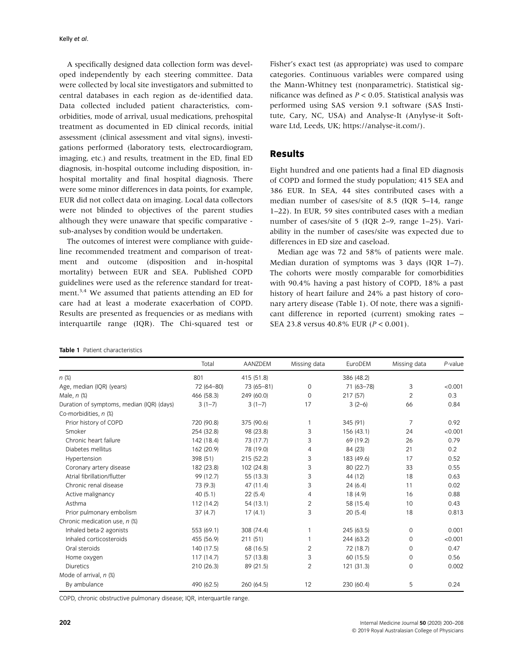A specifically designed data collection form was developed independently by each steering committee. Data were collected by local site investigators and submitted to central databases in each region as de-identified data. Data collected included patient characteristics, comorbidities, mode of arrival, usual medications, prehospital treatment as documented in ED clinical records, initial assessment (clinical assessment and vital signs), investigations performed (laboratory tests, electrocardiogram, imaging, etc.) and results, treatment in the ED, final ED diagnosis, in-hospital outcome including disposition, inhospital mortality and final hospital diagnosis. There were some minor differences in data points, for example, EUR did not collect data on imaging. Local data collectors were not blinded to objectives of the parent studies although they were unaware that specific comparative sub-analyses by condition would be undertaken.

The outcomes of interest were compliance with guideline recommended treatment and comparison of treatment and outcome (disposition and in-hospital mortality) between EUR and SEA. Published COPD guidelines were used as the reference standard for treatment.3,4 We assumed that patients attending an ED for care had at least a moderate exacerbation of COPD. Results are presented as frequencies or as medians with interquartile range (IQR). The Chi-squared test or

Fisher's exact test (as appropriate) was used to compare categories. Continuous variables were compared using the Mann-Whitney test (nonparametric). Statistical significance was defined as  $P < 0.05$ . Statistical analysis was performed using SAS version 9.1 software (SAS Institute, Cary, NC, USA) and Analyse-It (Anylyse-it Software Ltd, Leeds, UK;<https://analyse-it.com/>).

### Results

Eight hundred and one patients had a final ED diagnosis of COPD and formed the study population; 415 SEA and 386 EUR. In SEA, 44 sites contributed cases with a median number of cases/site of 8.5 (IQR 5–14, range 1–22). In EUR, 59 sites contributed cases with a median number of cases/site of 5 (IQR 2–9, range 1–25). Variability in the number of cases/site was expected due to differences in ED size and caseload.

Median age was 72 and 58% of patients were male. Median duration of symptoms was 3 days (IQR 1–7). The cohorts were mostly comparable for comorbidities with 90.4% having a past history of COPD, 18% a past history of heart failure and 24% a past history of coronary artery disease (Table 1). Of note, there was a significant difference in reported (current) smoking rates – SEA 23.8 versus 40.8% EUR (P < 0.001).

|                                           | Total      | AANZDEM<br>Missing data |                | EuroDEM    | Missing data   | P-value |
|-------------------------------------------|------------|-------------------------|----------------|------------|----------------|---------|
| n(x)                                      | 801        | 415 (51.8)              | 386 (48.2)     |            |                |         |
| Age, median (IQR) (years)                 | 72 (64-80) | 73 (65-81)              | $\mathbf 0$    | 71 (63-78) | 3              | < 0.001 |
| Male, $n$ $%$                             | 466 (58.3) | 249 (60.0)              | $\mathbf 0$    | 217(57)    | $\overline{2}$ | 0.3     |
| Duration of symptoms, median (IQR) (days) | $3(1-7)$   | $3(1-7)$                | 17             | $3(2-6)$   | 66             | 0.84    |
| Co-morbidities, n (%)                     |            |                         |                |            |                |         |
| Prior history of COPD                     | 720 (90.8) | 375 (90.6)              | 1              | 345 (91)   | 7              | 0.92    |
| Smoker                                    | 254 (32.8) | 98 (23.8)               | 3              | 156 (43.1) | 24             | < 0.001 |
| Chronic heart failure                     | 142 (18.4) | 73 (17.7)               | 3              | 69 (19.2)  | 26             | 0.79    |
| Diabetes mellitus                         | 162 (20.9) | 78 (19.0)               | 4              | 84 (23)    | 21             | 0.2     |
| Hypertension                              | 398 (51)   | 215 (52.2)              | 3              | 183 (49.6) | 17             | 0.52    |
| Coronary artery disease                   | 182 (23.8) | 102 (24.8)              | 3              | 80 (22.7)  | 33             | 0.55    |
| Atrial fibrillation/flutter               | 99 (12.7)  | 55 (13.3)               | 3              | 44 (12)    | 18             | 0.63    |
| Chronic renal disease                     | 73 (9.3)   | 47 (11.4)               | 3              | 24(6.4)    | 11             | 0.02    |
| Active malignancy                         | 40(5.1)    | 22(5.4)                 | 4              | 18 (4.9)   | 16             | 0.88    |
| Asthma                                    | 112 (14.2) | 54 (13.1)               | $\overline{c}$ | 58 (15.4)  | 10             | 0.43    |
| Prior pulmonary embolism                  | 37(4.7)    | 17(4.1)                 | 3              | 20(5.4)    | 18             | 0.813   |
| Chronic medication use, n (%)             |            |                         |                |            |                |         |
| Inhaled beta-2 agonists                   | 553 (69.1) | 308 (74.4)              |                | 245 (63.5) | $\mathbf 0$    | 0.001   |
| Inhaled corticosteroids                   | 455 (56.9) | 211 (51)                |                | 244 (63.2) | $\mathbf 0$    | < 0.001 |
| Oral steroids                             | 140 (17.5) | 68 (16.5)               | 2              | 72 (18.7)  | $\Omega$       | 0.47    |
| Home oxygen                               | 117(14.7)  | 57 (13.8)               | 3              | 60 (15.5)  | $\Omega$       | 0.56    |
| <b>Diuretics</b>                          | 210 (26.3) | 89 (21.5)               | 2              | 121 (31.3) | 0              | 0.002   |
| Mode of arrival, n (%)                    |            |                         |                |            |                |         |
| By ambulance                              | 490 (62.5) | 260 (64.5)              | 12             | 230 (60.4) | 5              | 0.24    |

COPD, chronic obstructive pulmonary disease; IQR, interquartile range.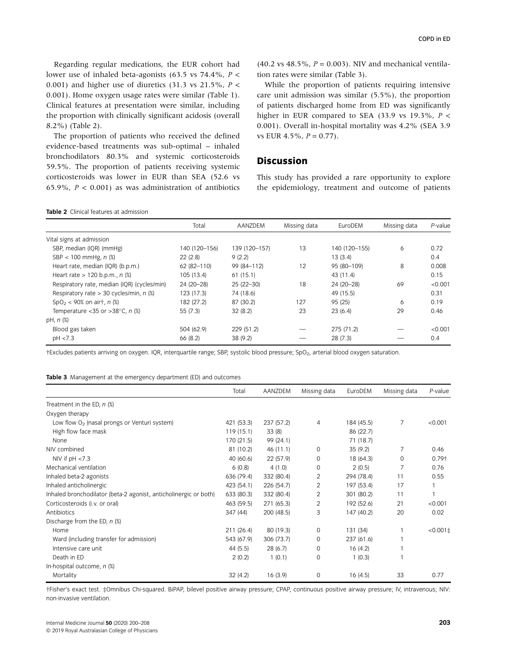Regarding regular medications, the EUR cohort had lower use of inhaled beta-agonists (63.5 vs 74.4%,  $P \leq$ 0.001) and higher use of diuretics  $(31.3 \text{ vs } 21.5\% , P <$ 0.001). Home oxygen usage rates were similar (Table 1). Clinical features at presentation were similar, including the proportion with clinically significant acidosis (overall 8.2%) (Table 2).

The proportion of patients who received the defined evidence-based treatments was sub-optimal – inhaled bronchodilators 80.3% and systemic corticosteroids 59.5%. The proportion of patients receiving systemic corticosteroids was lower in EUR than SEA (52.6 vs 65.9%,  $P < 0.001$ ) as was administration of antibiotics  $(40.2 \text{ vs } 48.5\%, P = 0.003)$ . NIV and mechanical ventilation rates were similar (Table 3).

While the proportion of patients requiring intensive care unit admission was similar (5.5%), the proportion of patients discharged home from ED was significantly higher in EUR compared to SEA (33.9 vs 19.3%,  $P <$ 0.001). Overall in-hospital mortality was 4.2% (SEA 3.9 vs EUR  $4.5\%$ ,  $P = 0.77$ ).

## Discussion

This study has provided a rare opportunity to explore the epidemiology, treatment and outcome of patients

| <b>Table 2</b> Clinical features at admission |
|-----------------------------------------------|
|                                               |

|                                               | Total         | AANZDEM       | Missing data | EuroDEM       | Missing data | P-value |
|-----------------------------------------------|---------------|---------------|--------------|---------------|--------------|---------|
| Vital signs at admission                      |               |               |              |               |              |         |
| SBP, median (IQR) (mmHg)                      | 140 (120-156) | 139 (120-157) | 13           | 140 (120-155) | 6            | 0.72    |
| SBP < 100 mmHg, $n$ (%)                       | 22(2.8)       | 9(2.2)        |              | 13(3.4)       |              | 0.4     |
| Heart rate, median (IQR) (b.p.m.)             | 62 (82-110)   | 99 (84-112)   | 12           | 95 (80-109)   | 8            | 0.008   |
| Heart rate $> 120$ b.p.m., n $%$              | 105 (13.4)    | 61(15.1)      |              | 43 (11.4)     |              | 0.15    |
| Respiratory rate, median (IQR) (cycles/min)   | 24 (20-28)    | 25 (22-30)    | 18           | 24 (20-28)    | 69           | < 0.001 |
| Respiratory rate > 30 cycles/min, $n$ (%)     | 123 (17.3)    | 74 (18.6)     |              | 49 (15.5)     |              | 0.31    |
| $SpO2 < 90%$ on air†, <i>n</i> $(\%)$         | 182 (27.2)    | 87 (30.2)     | 127          | 95 (25)       | 6            | 0.19    |
| Temperature < 35 or > 38 $^{\circ}$ C, n $\%$ | 55(7.3)       | 32(8.2)       | 23           | 23(6.4)       | 29           | 0.46    |
| $pH, n$ (%)                                   |               |               |              |               |              |         |
| Blood gas taken                               | 504 (62.9)    | 229 (51.2)    |              | 275 (71.2)    |              | < 0.001 |
| pH < 7.3                                      | 66 (8.2)      | 38(9.2)       |              | 28(7.3)       |              | 0.4     |

†Excludes patients arriving on oxygen. IQR, interquartile range; SBP, systolic blood pressure; SpO2, arterial blood oxygen saturation.

Table 3 Management at the emergency department (ED) and outcomes

|                                                                  | Total      | AANZDEM    | Missing data   | EuroDEM    | Missing data | $P$ -value          |
|------------------------------------------------------------------|------------|------------|----------------|------------|--------------|---------------------|
| Treatment in the ED, $n$ (%)                                     |            |            |                |            |              |                     |
| Oxygen therapy                                                   |            |            |                |            |              |                     |
| Low flow $O2$ (nasal prongs or Venturi system)                   | 421 (53.3) | 237 (57.2) | $\overline{4}$ | 184 (45.5) | 7            | < 0.001             |
| High flow face mask                                              | 119(15.1)  | 33(8)      |                | 86 (22.7)  |              |                     |
| None                                                             | 170 (21.5) | 99 (24.1)  |                | 71 (18.7)  |              |                     |
| NIV combined                                                     | 81 (10.2)  | 46 (11.1)  | $\Omega$       | 35(9.2)    | 7            | 0.46                |
| NIV if $pH < 7.3$                                                | 40 (60.6)  | 22 (57.9)  | $\mathbf{0}$   | 18 (64.3)  | 0            | $0.79+$             |
| Mechanical ventilation                                           | 6(0.8)     | 4(1.0)     | 0              | 2(0.5)     |              | 0.76                |
| Inhaled beta-2 agonists                                          | 636 (79.4) | 332 (80.4) | 2              | 294 (78.4) | 11           | 0.55                |
| Inhaled anticholinergic                                          | 423 (54.1) | 226 (54.7) | $\overline{2}$ | 197 (53.4) | 17           |                     |
| Inhaled bronchodilator (beta-2 agonist, anticholinergic or both) | 633 (80.3) | 332 (80.4) | 2              | 301 (80.2) | 11           |                     |
| Corticosteroids (i.v. or oral)                                   | 463 (59.5) | 271 (65.3) | 2              | 192 (52.6) | 21           | < 0.001             |
| Antibiotics                                                      | 347 (44)   | 200 (48.5) | 3              | 147 (40.2) | 20           | 0.02                |
| Discharge from the ED, $n$ (%)                                   |            |            |                |            |              |                     |
| Home                                                             | 211(26.4)  | 80 (19.3)  | $\mathbf 0$    | 131 (34)   |              | $< 0.001 \pm 1.001$ |
| Ward (including transfer for admission)                          | 543 (67.9) | 306 (73.7) | $\mathbf 0$    | 237 (61.6) |              |                     |
| Intensive care unit                                              | 44 (5.5)   | 28(6.7)    | $\mathbf 0$    | 16(4.2)    |              |                     |
| Death in ED                                                      | 2(0.2)     | 1(0.1)     | $\mathbf{0}$   | 1(0.3)     |              |                     |
| In-hospital outcome, $n$ (%)                                     |            |            |                |            |              |                     |
| Mortality                                                        | 32(4.2)    | 16(3.9)    | $\mathbf 0$    | 16(4.5)    | 33           | 0.77                |

†Fisher's exact test. ‡Omnibus Chi-squared. BiPAP, bilevel positive airway pressure; CPAP, continuous positive airway pressure; IV, intravenous; NIV: non-invasive ventilation.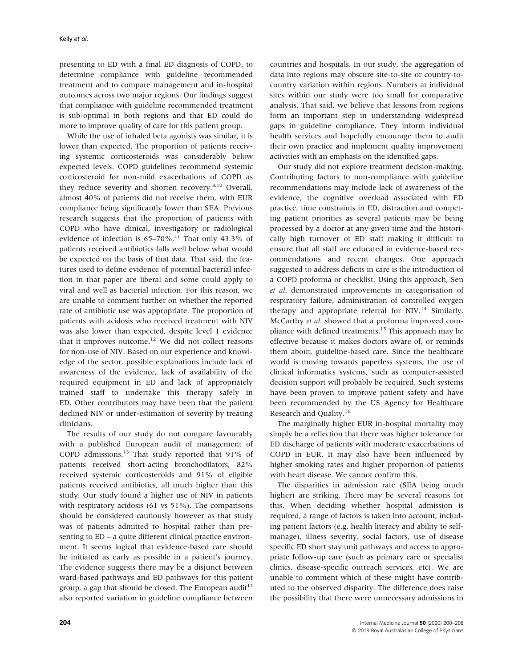presenting to ED with a final ED diagnosis of COPD, to determine compliance with guideline recommended treatment and to compare management and in-hospital outcomes across two major regions. Our findings suggest that compliance with guideline recommended treatment is sub-optimal in both regions and that ED could do more to improve quality of care for this patient group.

While the use of inhaled beta agonists was similar, it is lower than expected. The proportion of patients receiving systemic corticosteroids was considerably below expected levels. COPD guidelines recommend systemic corticosteroid for non-mild exacerbations of COPD as they reduce severity and shorten recovery.<sup>8,10</sup> Overall, almost 40% of patients did not receive them, with EUR compliance being significantly lower than SEA. Previous research suggests that the proportion of patients with COPD who have clinical, investigatory or radiological evidence of infection is  $65-70\%$ .<sup>11</sup> That only 43.3% of patients received antibiotics falls well below what would be expected on the basis of that data. That said, the features used to define evidence of potential bacterial infection in that paper are liberal and some could apply to viral and well as bacterial infection. For this reason, we are unable to comment further on whether the reported rate of antibiotic use was appropriate. The proportion of patients with acidosis who received treatment with NIV was also lower than expected, despite level 1 evidence that it improves outcome.<sup>12</sup> We did not collect reasons for non-use of NIV. Based on our experience and knowledge of the sector, possible explanations include lack of awareness of the evidence, lack of availability of the required equipment in ED and lack of appropriately trained staff to undertake this therapy safely in ED. Other contributors may have been that the patient declined NIV or under-estimation of severity by treating clinicians.

The results of our study do not compare favourably with a published European audit of management of COPD admissions.<sup>13</sup> That study reported that 91% of patients received short-acting bronchodilators, 82% received systemic corticosteroids and 91% of eligible patients received antibiotics, all much higher than this study. Our study found a higher use of NIV in patients with respiratory acidosis (61 vs 51%). The comparisons should be considered cautiously however as that study was of patients admitted to hospital rather than presenting to ED – a quite different clinical practice environment. It seems logical that evidence-based care should be initiated as early as possible in a patient's journey. The evidence suggests there may be a disjunct between ward-based pathways and ED pathways for this patient group, a gap that should be closed. The European audit<sup>13</sup> also reported variation in guideline compliance between countries and hospitals. In our study, the aggregation of data into regions may obscure site-to-site or country-tocountry variation within regions. Numbers at individual sites within our study were too small for comparative analysis. That said, we believe that lessons from regions form an important step in understanding widespread gaps in guideline compliance. They inform individual health services and hopefully encourage them to audit their own practice and implement quality improvement activities with an emphasis on the identified gaps.

Our study did not explore treatment decision-making. Contributing factors to non-compliance with guideline recommendations may include lack of awareness of the evidence, the cognitive overload associated with ED practice, time constraints in ED, distraction and competing patient priorities as several patients may be being processed by a doctor at any given time and the historically high turnover of ED staff making it difficult to ensure that all staff are educated in evidence-based recommendations and recent changes. One approach suggested to address deficits in care is the introduction of a COPD proforma or checklist. Using this approach, Sen et al. demonstrated improvements in categorisation of respiratory failure, administration of controlled oxygen therapy and appropriate referral for  $NIV.<sup>14</sup>$  Similarly, McCarthy et al. showed that a proforma improved compliance with defined treatments.<sup>15</sup> This approach may be effective because it makes doctors aware of, or reminds them about, guideline-based care. Since the healthcare world is moving towards paperless systems, the use of clinical informatics systems, such as computer-assisted decision support will probably be required. Such systems have been proven to improve patient safety and have been recommended by the US Agency for Healthcare Research and Quality.<sup>16</sup>

The marginally higher EUR in-hospital mortality may simply be a reflection that there was higher tolerance for ED discharge of patients with moderate exacerbations of COPD in EUR. It may also have been influenced by higher smoking rates and higher proportion of patients with heart disease. We cannot confirm this.

The disparities in admission rate (SEA being much higher) are striking. There may be several reasons for this. When deciding whether hospital admission is required, a range of factors is taken into account, including patient factors (e.g. health literacy and ability to selfmanage), illness severity, social factors, use of disease specific ED short stay unit pathways and access to appropriate follow-up care (such as primary care or specialist clinics, disease-specific outreach services, etc). We are unable to comment which of these might have contributed to the observed disparity. The difference does raise the possibility that there were unnecessary admissions in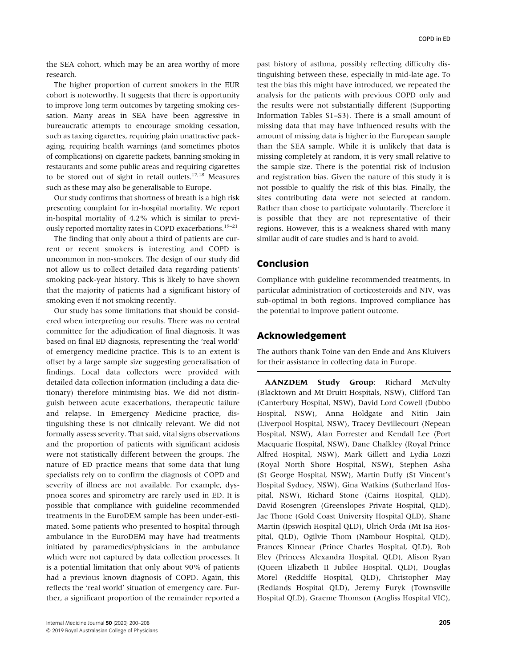the SEA cohort, which may be an area worthy of more research.

The higher proportion of current smokers in the EUR cohort is noteworthy. It suggests that there is opportunity to improve long term outcomes by targeting smoking cessation. Many areas in SEA have been aggressive in bureaucratic attempts to encourage smoking cessation, such as taxing cigarettes, requiring plain unattractive packaging, requiring health warnings (and sometimes photos of complications) on cigarette packets, banning smoking in restaurants and some public areas and requiring cigarettes to be stored out of sight in retail outlets.17,18 Measures such as these may also be generalisable to Europe.

Our study confirms that shortness of breath is a high risk presenting complaint for in-hospital mortality. We report in-hospital mortality of 4.2% which is similar to previously reported mortality rates in COPD exacerbations.<sup>19-21</sup>

The finding that only about a third of patients are current or recent smokers is interesting and COPD is uncommon in non-smokers. The design of our study did not allow us to collect detailed data regarding patients' smoking pack-year history. This is likely to have shown that the majority of patients had a significant history of smoking even if not smoking recently.

Our study has some limitations that should be considered when interpreting our results. There was no central committee for the adjudication of final diagnosis. It was based on final ED diagnosis, representing the 'real world' of emergency medicine practice. This is to an extent is offset by a large sample size suggesting generalisation of findings. Local data collectors were provided with detailed data collection information (including a data dictionary) therefore minimising bias. We did not distinguish between acute exacerbations, therapeutic failure and relapse. In Emergency Medicine practice, distinguishing these is not clinically relevant. We did not formally assess severity. That said, vital signs observations and the proportion of patients with significant acidosis were not statistically different between the groups. The nature of ED practice means that some data that lung specialists rely on to confirm the diagnosis of COPD and severity of illness are not available. For example, dyspnoea scores and spirometry are rarely used in ED. It is possible that compliance with guideline recommended treatments in the EuroDEM sample has been under-estimated. Some patients who presented to hospital through ambulance in the EuroDEM may have had treatments initiated by paramedics/physicians in the ambulance which were not captured by data collection processes. It is a potential limitation that only about 90% of patients had a previous known diagnosis of COPD. Again, this reflects the 'real world' situation of emergency care. Further, a significant proportion of the remainder reported a

past history of asthma, possibly reflecting difficulty distinguishing between these, especially in mid-late age. To test the bias this might have introduced, we repeated the analysis for the patients with previous COPD only and the results were not substantially different (Supporting Information Tables S1–S3). There is a small amount of missing data that may have influenced results with the amount of missing data is higher in the European sample than the SEA sample. While it is unlikely that data is missing completely at random, it is very small relative to the sample size. There is the potential risk of inclusion and registration bias. Given the nature of this study it is not possible to qualify the risk of this bias. Finally, the sites contributing data were not selected at random. Rather than chose to participate voluntarily. Therefore it is possible that they are not representative of their regions. However, this is a weakness shared with many similar audit of care studies and is hard to avoid.

## Conclusion

Compliance with guideline recommended treatments, in particular administration of corticosteroids and NIV, was sub-optimal in both regions. Improved compliance has the potential to improve patient outcome.

## Acknowledgement

The authors thank Toine van den Ende and Ans Kluivers for their assistance in collecting data in Europe.

AANZDEM Study Group: Richard McNulty (Blacktown and Mt Druitt Hospitals, NSW), Clifford Tan (Canterbury Hospital, NSW), David Lord Cowell (Dubbo Hospital, NSW), Anna Holdgate and Nitin Jain (Liverpool Hospital, NSW), Tracey Devillecourt (Nepean Hospital, NSW), Alan Forrester and Kendall Lee (Port Macquarie Hospital, NSW), Dane Chalkley (Royal Prince Alfred Hospital, NSW), Mark Gillett and Lydia Lozzi (Royal North Shore Hospital, NSW), Stephen Asha (St George Hospital, NSW), Martin Duffy (St Vincent's Hospital Sydney, NSW), Gina Watkins (Sutherland Hospital, NSW), Richard Stone (Cairns Hospital, QLD), David Rosengren (Greenslopes Private Hospital, QLD), Jae Thone (Gold Coast University Hospital QLD), Shane Martin (Ipswich Hospital QLD), Ulrich Orda (Mt Isa Hospital, QLD), Ogilvie Thom (Nambour Hospital, QLD), Frances Kinnear (Prince Charles Hospital, QLD), Rob Eley (Princess Alexandra Hospital, QLD), Alison Ryan (Queen Elizabeth II Jubilee Hospital, QLD), Douglas Morel (Redcliffe Hospital, QLD), Christopher May (Redlands Hospital QLD), Jeremy Furyk (Townsville Hospital QLD), Graeme Thomson (Angliss Hospital VIC),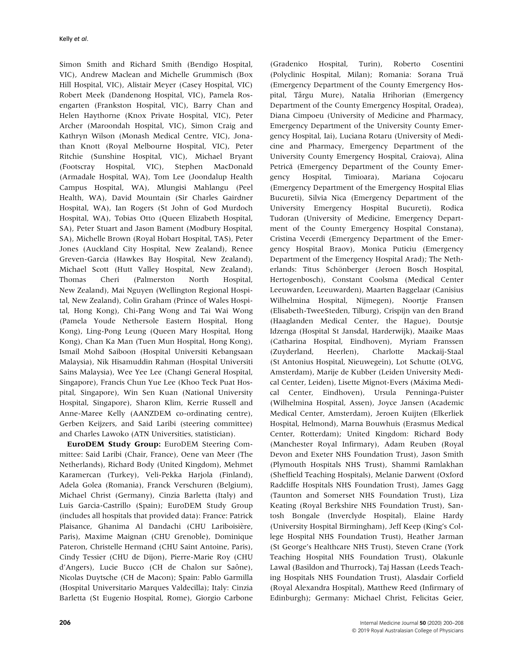Simon Smith and Richard Smith (Bendigo Hospital, VIC), Andrew Maclean and Michelle Grummisch (Box Hill Hospital, VIC), Alistair Meyer (Casey Hospital, VIC) Robert Meek (Dandenong Hospital, VIC), Pamela Rosengarten (Frankston Hospital, VIC), Barry Chan and Helen Haythorne (Knox Private Hospital, VIC), Peter Archer (Maroondah Hospital, VIC), Simon Craig and Kathryn Wilson (Monash Medical Centre, VIC), Jonathan Knott (Royal Melbourne Hospital, VIC), Peter Ritchie (Sunshine Hospital, VIC), Michael Bryant (Footscray Hospital, VIC), Stephen MacDonald (Armadale Hospital, WA), Tom Lee (Joondalup Health Campus Hospital, WA), Mlungisi Mahlangu (Peel Health, WA), David Mountain (Sir Charles Gairdner Hospital, WA), Ian Rogers (St John of God Murdoch Hospital, WA), Tobias Otto (Queen Elizabeth Hospital, SA), Peter Stuart and Jason Bament (Modbury Hospital, SA), Michelle Brown (Royal Hobart Hospital, TAS), Peter Jones (Auckland City Hospital, New Zealand), Renee Greven-Garcia (Hawkes Bay Hospital, New Zealand), Michael Scott (Hutt Valley Hospital, New Zealand), Thomas Cheri (Palmerston North Hospital, New Zealand), Mai Nguyen (Wellington Regional Hospital, New Zealand), Colin Graham (Prince of Wales Hospital, Hong Kong), Chi-Pang Wong and Tai Wai Wong (Pamela Youde Nethersole Eastern Hospital, Hong Kong), Ling-Pong Leung (Queen Mary Hospital, Hong Kong), Chan Ka Man (Tuen Mun Hospital, Hong Kong), Ismail Mohd Saiboon (Hospital Universiti Kebangsaan Malaysia), Nik Hisamuddin Rahman (Hospital Universiti Sains Malaysia), Wee Yee Lee (Changi General Hospital, Singapore), Francis Chun Yue Lee (Khoo Teck Puat Hospital, Singapore), Win Sen Kuan (National University Hospital, Singapore), Sharon Klim, Kerrie Russell and Anne-Maree Kelly (AANZDEM co-ordinating centre), Gerben Keijzers, and Said Laribi (steering committee) and Charles Lawoko (ATN Universities, statistician).

EuroDEM Study Group: EuroDEM Steering Committee: Said Laribi (Chair, France), Oene van Meer (The Netherlands), Richard Body (United Kingdom), Mehmet Karamercan (Turkey), Veli-Pekka Harjola (Finland), Adela Golea (Romania), Franck Verschuren (Belgium), Michael Christ (Germany), Cinzia Barletta (Italy) and Luis Garcia-Castrillo (Spain); EuroDEM Study Group (includes all hospitals that provided data): France: Patrick Plaisance, Ghanima Al Dandachi (CHU Lariboisière, Paris), Maxime Maignan (CHU Grenoble), Dominique Pateron, Christelle Hermand (CHU Saint Antoine, Paris), Cindy Tessier (CHU de Dijon), Pierre-Marie Roy (CHU d'Angers), Lucie Bucco (CH de Chalon sur Saône), Nicolas Duytsche (CH de Macon); Spain: Pablo Garmilla (Hospital Universitario Marques Valdecilla); Italy: Cinzia Barletta (St Eugenio Hospital, Rome), Giorgio Carbone

(Gradenico Hospital, Turin), Roberto Cosentini (Polyclinic Hospital, Milan); Romania: Sorana Truă (Emergency Department of the County Emergency Hospital, Târgu Mure), Natalia Hrihorian (Emergency Department of the County Emergency Hospital, Oradea), Diana Cimpoeu (University of Medicine and Pharmacy, Emergency Department of the University County Emergency Hospital, Iai), Luciana Rotaru (University of Medicine and Pharmacy, Emergency Department of the University County Emergency Hospital, Craiova), Alina Petrică (Emergency Department of the County Emergency Hospital, Timioara), Mariana Cojocaru (Emergency Department of the Emergency Hospital Elias Bucureti), Silvia Nica (Emergency Department of the University Emergency Hospital Bucureti), Rodica Tudoran (University of Medicine, Emergency Department of the County Emergency Hospital Constana), Cristina Vecerdi (Emergency Department of the Emergency Hospital Braov), Monica Puticiu (Emergency Department of the Emergency Hospital Arad); The Netherlands: Titus Schönberger (Jeroen Bosch Hospital, Hertogenbosch), Constant Coolsma (Medical Center Leeuwarden, Leeuwarden), Maarten Baggelaar (Canisius Wilhelmina Hospital, Nijmegen), Noortje Fransen (Elisabeth-TweeSteden, Tilburg), Crispijn van den Brand (Haaglanden Medical Center, the Hague), Doutsje Idzenga (Hospital St Jansdal, Harderwijk), Maaike Maas (Catharina Hospital, Eindhoven), Myriam Franssen (Zuyderland, Heerlen), Charlotte Mackaij-Staal (St Antonius Hospital, Nieuwegein), Lot Schutte (OLVG, Amsterdam), Marije de Kubber (Leiden University Medical Center, Leiden), Lisette Mignot-Evers (Máxima Medical Center, Eindhoven), Ursula Penninga-Puister (Wilhelmina Hospital, Assen), Joyce Jansen (Academic Medical Center, Amsterdam), Jeroen Kuijten (Elkerliek Hospital, Helmond), Marna Bouwhuis (Erasmus Medical Center, Rotterdam); United Kingdom: Richard Body (Manchester Royal Infirmary), Adam Reuben (Royal Devon and Exeter NHS Foundation Trust), Jason Smith (Plymouth Hospitals NHS Trust), Shammi Ramlakhan (Sheffield Teaching Hospitals), Melanie Darwent (Oxford Radcliffe Hospitals NHS Foundation Trust), James Gagg (Taunton and Somerset NHS Foundation Trust), Liza Keating (Royal Berkshire NHS Foundation Trust), Santosh Bongale (Inverclyde Hospital), Elaine Hardy (University Hospital Birmingham), Jeff Keep (King's College Hospital NHS Foundation Trust), Heather Jarman (St George's Healthcare NHS Trust), Steven Crane (York Teaching Hospital NHS Foundation Trust), Olakunle Lawal (Basildon and Thurrock), Taj Hassan (Leeds Teaching Hospitals NHS Foundation Trust), Alasdair Corfield (Royal Alexandra Hospital), Matthew Reed (Infirmary of Edinburgh); Germany: Michael Christ, Felicitas Geier,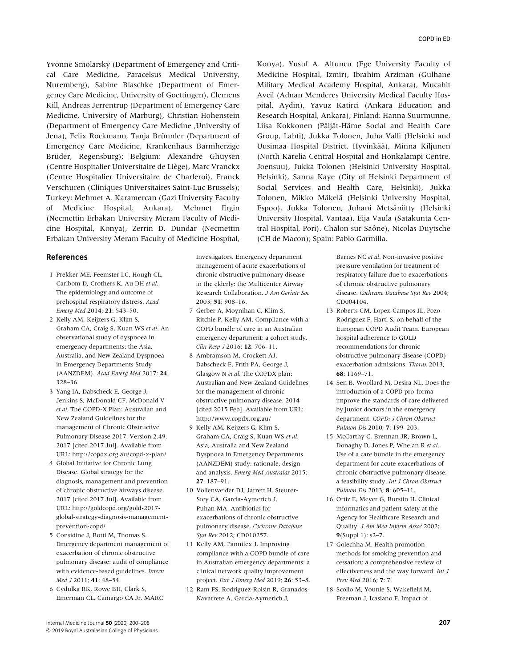Yvonne Smolarsky (Department of Emergency and Critical Care Medicine, Paracelsus Medical University, Nuremberg), Sabine Blaschke (Department of Emergency Care Medicine, University of Goettingen), Clemens Kill, Andreas Jerrentrup (Department of Emergency Care Medicine, University of Marburg), Christian Hohenstein (Department of Emergency Care Medicine ,University of Jena), Felix Rockmann, Tanja Brünnler (Department of Emergency Care Medicine, Krankenhaus Barmherzige Brüder, Regensburg); Belgium: Alexandre Ghuysen (Centre Hospitalier Universitaire de Liège), Marc Vranckx (Centre Hospitalier Universitaire de Charleroi), Franck Verschuren (Cliniques Universitaires Saint-Luc Brussels); Turkey: Mehmet A. Karamercan (Gazi University Faculty of Medicine Hospital, Ankara), Mehmet Ergin (Necmettin Erbakan University Meram Faculty of Medicine Hospital, Konya), Zerrin D. Dundar (Necmettin Erbakan University Meram Faculty of Medicine Hospital,

#### References

- 1 Prekker ME, Feemster LC, Hough CL, Carlbom D, Crothers K, Au DH et al. The epidemiology and outcome of prehospital respiratory distress. Acad Emerg Med 2014; 21: 543–50.
- 2 Kelly AM, Keijzers G, Klim S, Graham CA, Craig S, Kuan WS et al. An observational study of dyspnoea in emergency departments: the Asia, Australia, and New Zealand Dyspnoea in Emergency Departments Study (AANZDEM). Acad Emerg Med 2017; 24: 328–36.
- 3 Yang IA, Dabscheck E, George J, Jenkins S, McDonald CF, McDonald V et al. The COPD-X Plan: Australian and New Zealand Guidelines for the management of Chronic Obstructive Pulmonary Disease 2017. Version 2.49. 2017 [cited 2017 Jul]. Available from URL:<http://copdx.org.au/copd-x-plan/>
- 4 Global Initiative for Chronic Lung Disease. Global strategy for the diagnosis, management and prevention of chronic obstructive airways disease. 2017 [cited 2017 Jul]. Available from URL: [http://goldcopd.org/gold-2017](http://goldcopd.org/gold-2017-global-strategy-diagnosis-management-prevention-copd/) [global-strategy-diagnosis-management](http://goldcopd.org/gold-2017-global-strategy-diagnosis-management-prevention-copd/)[prevention-copd/](http://goldcopd.org/gold-2017-global-strategy-diagnosis-management-prevention-copd/)
- 5 Considine J, Botti M, Thomas S. Emergency department management of exacerbation of chronic obstructive pulmonary disease: audit of compliance with evidence-based guidelines. Intern Med J 2011; 41: 48–54.
- 6 Cydulka RK, Rowe BH, Clark S, Emerman CL, Camargo CA Jr, MARC

Investigators. Emergency department management of acute exacerbations of chronic obstructive pulmonary disease in the elderly: the Multicenter Airway Research Collaboration. J Am Geriatr Soc 2003; 51: 908–16.

- 7 Gerber A, Moynihan C, Klim S, Ritchie P, Kelly AM. Compliance with a COPD bundle of care in an Australian emergency department: a cohort study. Clin Resp J 2016; 12: 706-11.
- 8 Ambramson M, Crockett AJ, Dabscheck E, Frith PA, George J, Glasgow N et al. The COPDX plan: Australian and New Zealand Guidelines for the management of chronic obstructive pulmonary disease. 2014 [cited 2015 Feb]. Available from URL: <http://www.copdx.org.au/>
- 9 Kelly AM, Keijzers G, Klim S, Graham CA, Craig S, Kuan WS et al. Asia, Australia and New Zealand Dyspnoea in Emergency Departments (AANZDEM) study: rationale, design and analysis. Emerg Med Australas 2015; 27: 187–91.
- 10 Vollenweider DJ, Jarrett H, Steurer-Stey CA, Garcia-Aymerich J, Puhan MA. Antibiotics for exacerbations of chronic obstructive pulmonary disease. Cochrane Database Syst Rev 2012; CD010257.
- 11 Kelly AM, Pannifex J. Improving compliance with a COPD bundle of care in Australian emergency departments: a clinical network quality improvement project. Eur J Emerg Med 2019; 26: 53–8.
- 12 Ram FS, Rodriguez-Roisin R, Granados-Navarrete A, Garcia-Aymerich J,

Konya), Yusuf A. Altuncu (Ege University Faculty of Medicine Hospital, Izmir), Ibrahim Arziman (Gulhane Military Medical Academy Hospital, Ankara), Mucahit Avcil (Adnan Menderes University Medical Faculty Hospital, Aydin), Yavuz Katirci (Ankara Education and Research Hospital, Ankara); Finland: Hanna Suurmunne, Liisa Kokkonen (Päijät-Häme Social and Health Care Group, Lahti), Jukka Tolonen, Juha Valli (Helsinki and Uusimaa Hospital District, Hyvinkää), Minna Kiljunen (North Karelia Central Hospital and Honkalampi Centre, Joensuu), Jukka Tolonen (Helsinki University Hospital, Helsinki), Sanna Kaye (City of Helsinki Department of Social Services and Health Care, Helsinki), Jukka Tolonen, Mikko Mäkelä (Helsinki University Hospital, Espoo), Jukka Tolonen, Juhani Metsäniitty (Helsinki University Hospital, Vantaa), Eija Vaula (Satakunta Central Hospital, Pori). Chalon sur Saône), Nicolas Duytsche (CH de Macon); Spain: Pablo Garmilla.

> Barnes NC et al. Non-invasive positive pressure ventilation for treatment of respiratory failure due to exacerbations of chronic obstructive pulmonary disease. Cochrane Database Syst Rev 2004; CD004104.

- 13 Roberts CM, Lopez-Campos JL, Pozo-Rodriguez F, Hartl S, on behalf of the European COPD Audit Team. European hospital adherence to GOLD recommendations for chronic obstructive pulmonary disease (COPD) exacerbation admissions. Thorax 2013; 68: 1169–71.
- 14 Sen B, Woollard M, Desira NL. Does the introduction of a COPD pro-forma improve the standards of care delivered by junior doctors in the emergency department. COPD: J Chron Obstruct Pulmon Dis 2010; 7: 199–203.
- 15 McCarthy C, Brennan JR, Brown L, Donaghy D, Jones P, Whelan R et al. Use of a care bundle in the emergency department for acute exacerbations of chronic obstructive pulmonary disease: a feasibility study. Int J Chron Obstruct Pulmon Dis 2013; 8: 605–11.
- 16 Ortiz E, Meyer G, Burstin H. Clinical informatics and patient safety at the Agency for Healthcare Research and Quality. J Am Med Inform Assoc 2002; 9(Suppl 1): s2–7.
- 17 Golechha M. Health promotion methods for smoking prevention and cessation: a comprehensive review of effectiveness and the way forward. Int J Prev Med 2016; 7: 7.
- 18 Scollo M, Younie S, Wakefield M, Freeman J, Icasiano F. Impact of